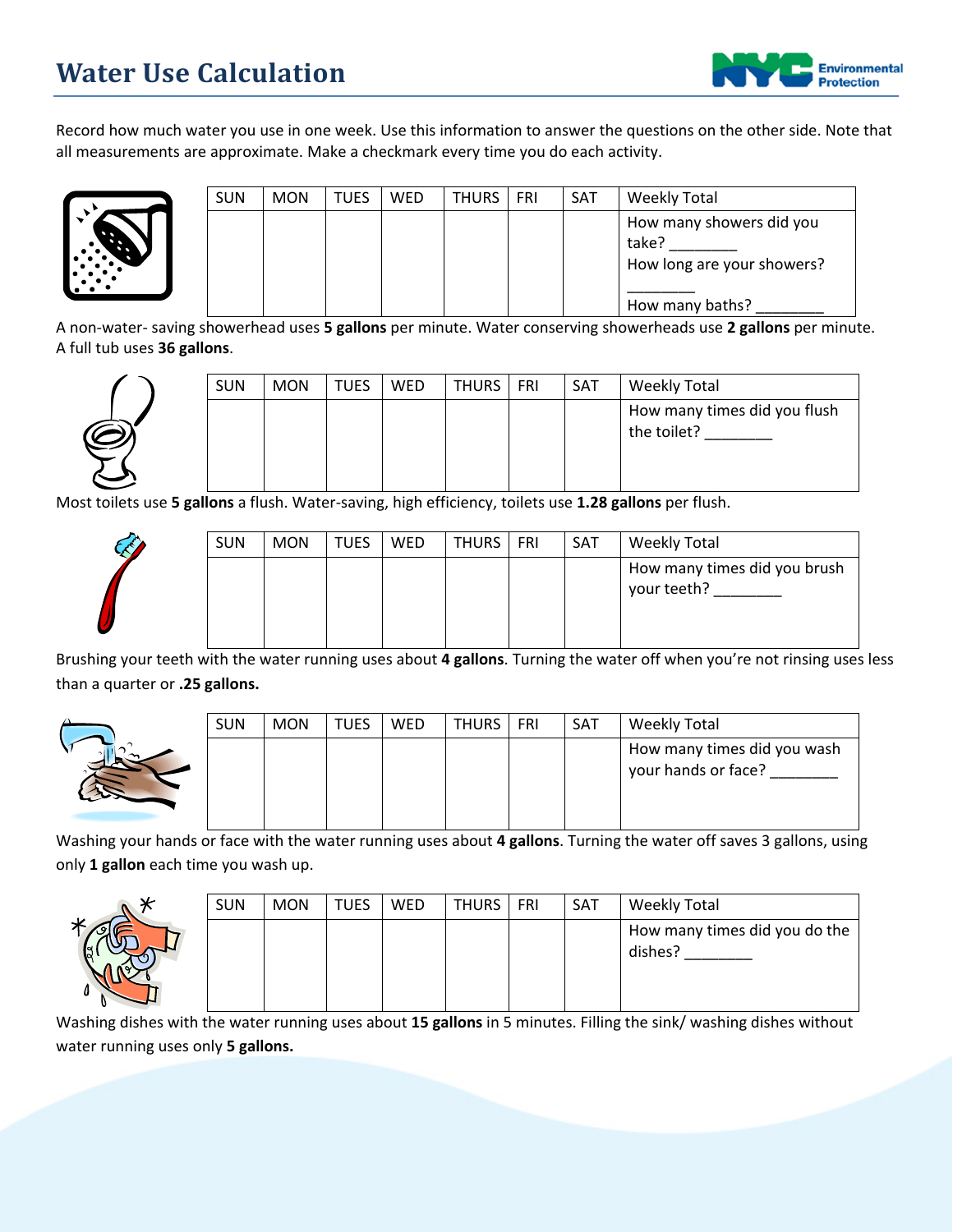

Record how much water you use in one week. Use this information to answer the questions on the other side. Note that all measurements are approximate. Make a checkmark every time you do each activity.



| <b>SUN</b> | <b>MON</b> | <b>TUES</b> | <b>WED</b> | <b>THURS</b> | <b>FRI</b> | <b>SAT</b> | Weekly Total                                                    |
|------------|------------|-------------|------------|--------------|------------|------------|-----------------------------------------------------------------|
|            |            |             |            |              |            |            | How many showers did you<br>take?<br>How long are your showers? |
|            |            |             |            |              |            |            | How many baths?                                                 |

A non-water- saving showerhead uses **5 gallons** per minute. Water conserving showerheads use **2 gallons** per minute. A full tub uses **36 gallons**.



| How many times did you flush<br>the toilet? | <b>SUN</b> | <b>MON</b> | TUES | <b>WED</b> | THURS   FRI | <b>SAT</b> | Weekly Total |
|---------------------------------------------|------------|------------|------|------------|-------------|------------|--------------|
|                                             |            |            |      |            |             |            |              |

Most toilets use **5 gallons** a flush. Water-saving, high efficiency, toilets use **1.28 gallons** per flush.



| <b>SUN</b> | <b>MON</b> | <b>TUES</b> | WED | <b>THURS</b> | FRI | SAT | <b>Weekly Total</b>                         |
|------------|------------|-------------|-----|--------------|-----|-----|---------------------------------------------|
|            |            |             |     |              |     |     | How many times did you brush<br>your teeth? |

Brushing your teeth with the water running uses about **4 gallons**. Turning the water off when you're not rinsing uses less than a quarter or **.25 gallons.**



| <b>SUN</b> | <b>MON</b> | <b>TUES</b> | WED | THURS | FRI | <b>SAT</b> | Weekly Total                                       |
|------------|------------|-------------|-----|-------|-----|------------|----------------------------------------------------|
|            |            |             |     |       |     |            | How many times did you wash<br>your hands or face? |

Washing your hands or face with the water running uses about **4 gallons**. Turning the water off saves 3 gallons, using only **1 gallon** each time you wash up.



| <b>SUN</b> | <b>MON</b> | <b>TUES</b> | WED | THURS   FRI | SAT | <b>Weekly Total</b>                      |
|------------|------------|-------------|-----|-------------|-----|------------------------------------------|
|            |            |             |     |             |     | How many times did you do the<br>dishes? |

Washing dishes with the water running uses about **15 gallons** in 5 minutes. Filling the sink/ washing dishes without water running uses only **5 gallons.**